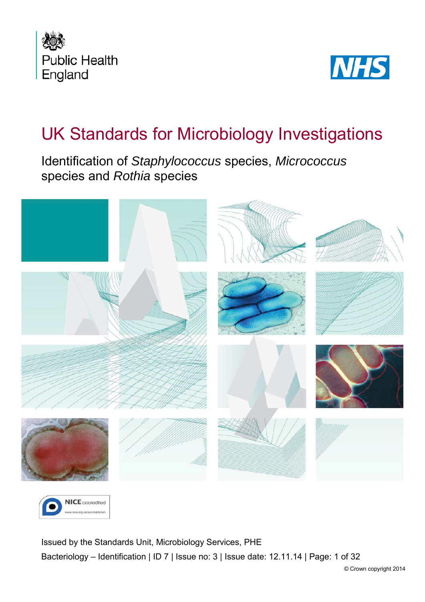



# UK Standards for Microbiology Investigations

Identification of *Staphylococcus* species, *Micrococcus* species and *Rothia* species





<span id="page-0-0"></span>Issued by the Standards Unit, Microbiology Services, PHE Bacteriology – Identification | ID 7 | Issue no: 3 | Issue date: 12.11.14 | Page: 1 of 32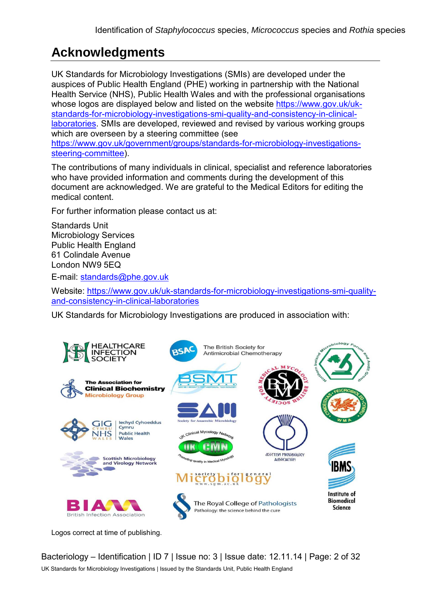# **Acknowledgments**

UK Standards for Microbiology Investigations (SMIs) are developed under the auspices of Public Health England (PHE) working in partnership with the National Health Service (NHS), Public Health Wales and with the professional organisations whose logos are displayed below and listed on the website [https://www.gov.uk/uk](https://www.gov.uk/uk-standards-for-microbiology-investigations-smi-quality-and-consistency-in-clinical-laboratories)[standards-for-microbiology-investigations-smi-quality-and-consistency-in-clinical](https://www.gov.uk/uk-standards-for-microbiology-investigations-smi-quality-and-consistency-in-clinical-laboratories)[laboratories.](https://www.gov.uk/uk-standards-for-microbiology-investigations-smi-quality-and-consistency-in-clinical-laboratories) SMIs are developed, reviewed and revised by various working groups which are overseen by a steering committee (see [https://www.gov.uk/government/groups/standards-for-microbiology-investigations](https://www.gov.uk/government/groups/standards-for-microbiology-investigations-steering-committee)[steering-committee\)](https://www.gov.uk/government/groups/standards-for-microbiology-investigations-steering-committee).

The contributions of many individuals in clinical, specialist and reference laboratories who have provided information and comments during the development of this document are acknowledged. We are grateful to the Medical Editors for editing the medical content.

For further information please contact us at:

Standards Unit Microbiology Services Public Health England 61 Colindale Avenue London NW9 5EQ

E-mail: [standards@phe.gov.uk](mailto:standards@phe.gov.uk)

Website: [https://www.gov.uk/uk-standards-for-microbiology-investigations-smi-quality](https://www.gov.uk/uk-standards-for-microbiology-investigations-smi-quality-and-consistency-in-clinical-laboratories)[and-consistency-in-clinical-laboratories](https://www.gov.uk/uk-standards-for-microbiology-investigations-smi-quality-and-consistency-in-clinical-laboratories)

UK Standards for Microbiology Investigations are produced in association with:



Logos correct at time of publishing.

Bacteriology – Identification | ID 7 | Issue no: 3 | Issue date: 12.11.14 | Page: 2 of 32 UK Standards for Microbiology Investigations | Issued by the Standards Unit, Public Health England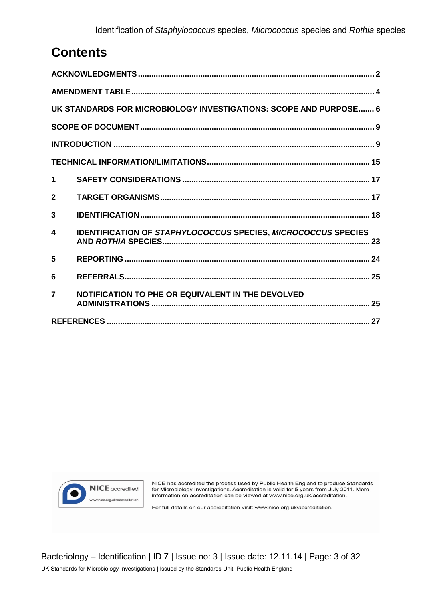# **Contents**

| UK STANDARDS FOR MICROBIOLOGY INVESTIGATIONS: SCOPE AND PURPOSE 6 |                                                                      |  |  |  |
|-------------------------------------------------------------------|----------------------------------------------------------------------|--|--|--|
|                                                                   |                                                                      |  |  |  |
|                                                                   |                                                                      |  |  |  |
|                                                                   |                                                                      |  |  |  |
| $\blacktriangleleft$                                              |                                                                      |  |  |  |
| $\mathbf{2}$                                                      |                                                                      |  |  |  |
| 3                                                                 |                                                                      |  |  |  |
| 4                                                                 | <b>IDENTIFICATION OF STAPHYLOCOCCUS SPECIES, MICROCOCCUS SPECIES</b> |  |  |  |
| 5                                                                 |                                                                      |  |  |  |
| 6                                                                 |                                                                      |  |  |  |
| $\overline{7}$                                                    | NOTIFICATION TO PHE OR EQUIVALENT IN THE DEVOLVED                    |  |  |  |
|                                                                   |                                                                      |  |  |  |



NICE has accredited the process used by Public Health England to produce Standards for Microbiology Investigations. Accreditation is valid for 5 years from July 2011. More information on accreditation can be viewed at www.nice.org.uk/accreditation.

For full details on our accreditation visit: www.nice.org.uk/accreditation.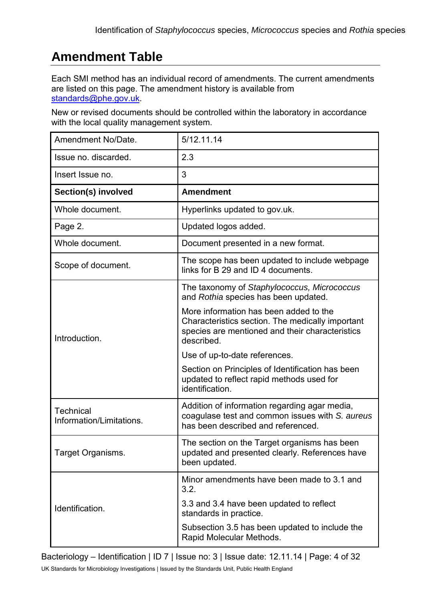# **Amendment Table**

Each SMI method has an individual record of amendments. The current amendments are listed on this page. The amendment history is available from [standards@phe.gov.uk.](mailto:standards@phe.gov.uk)

New or revised documents should be controlled within the laboratory in accordance with the local quality management system.

| Amendment No/Date.                           | 5/12.11.14                                                                                                                                                  |
|----------------------------------------------|-------------------------------------------------------------------------------------------------------------------------------------------------------------|
| Issue no. discarded.                         | 2.3                                                                                                                                                         |
| Insert Issue no.                             | 3                                                                                                                                                           |
| Section(s) involved                          | <b>Amendment</b>                                                                                                                                            |
| Whole document.                              | Hyperlinks updated to gov.uk.                                                                                                                               |
| Page 2.                                      | Updated logos added.                                                                                                                                        |
| Whole document.                              | Document presented in a new format.                                                                                                                         |
| Scope of document.                           | The scope has been updated to include webpage<br>links for B 29 and ID 4 documents.                                                                         |
|                                              | The taxonomy of Staphylococcus, Micrococcus<br>and Rothia species has been updated.                                                                         |
| Introduction.                                | More information has been added to the<br>Characteristics section. The medically important<br>species are mentioned and their characteristics<br>described. |
|                                              | Use of up-to-date references.                                                                                                                               |
|                                              | Section on Principles of Identification has been<br>updated to reflect rapid methods used for<br>identification.                                            |
| <b>Technical</b><br>Information/Limitations. | Addition of information regarding agar media,<br>coagulase test and common issues with S. aureus<br>has been described and referenced.                      |
| Target Organisms.                            | The section on the Target organisms has been<br>updated and presented clearly. References have<br>been updated.                                             |
|                                              | Minor amendments have been made to 3.1 and<br>3.2.                                                                                                          |
| Identification.                              | 3.3 and 3.4 have been updated to reflect<br>standards in practice.                                                                                          |
|                                              | Subsection 3.5 has been updated to include the<br>Rapid Molecular Methods.                                                                                  |

Bacteriology – Identification | ID 7 | Issue no: 3 | Issue date: 12.11.14 | Page: 4 of 32

UK Standards for Microbiology Investigations | Issued by the Standards Unit, Public Health England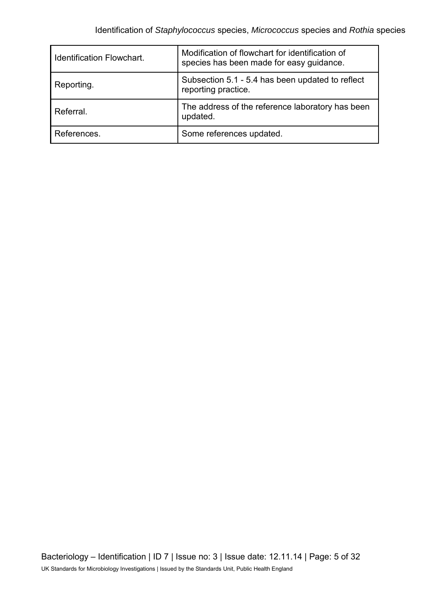| <b>Identification Flowchart.</b> | Modification of flowchart for identification of<br>species has been made for easy guidance. |
|----------------------------------|---------------------------------------------------------------------------------------------|
| Reporting.                       | Subsection 5.1 - 5.4 has been updated to reflect<br>reporting practice.                     |
| Referral.                        | The address of the reference laboratory has been<br>updated.                                |
| References.                      | Some references updated.                                                                    |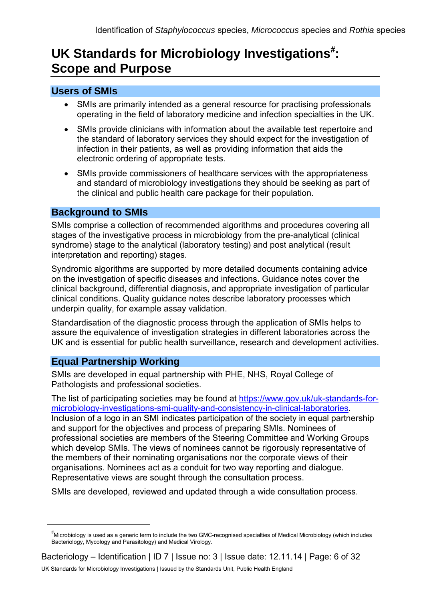# UK Standards for Microbiology Investigations<sup>[#](#page-0-0)</sup>: **Scope and Purpose**

### **Users of SMIs**

- SMIs are primarily intended as a general resource for practising professionals operating in the field of laboratory medicine and infection specialties in the UK.
- SMIs provide clinicians with information about the available test repertoire and the standard of laboratory services they should expect for the investigation of infection in their patients, as well as providing information that aids the electronic ordering of appropriate tests.
- SMIs provide commissioners of healthcare services with the appropriateness and standard of microbiology investigations they should be seeking as part of the clinical and public health care package for their population.

#### **Background to SMIs**

SMIs comprise a collection of recommended algorithms and procedures covering all stages of the investigative process in microbiology from the pre-analytical (clinical syndrome) stage to the analytical (laboratory testing) and post analytical (result interpretation and reporting) stages.

Syndromic algorithms are supported by more detailed documents containing advice on the investigation of specific diseases and infections. Guidance notes cover the clinical background, differential diagnosis, and appropriate investigation of particular clinical conditions. Quality guidance notes describe laboratory processes which underpin quality, for example assay validation.

Standardisation of the diagnostic process through the application of SMIs helps to assure the equivalence of investigation strategies in different laboratories across the UK and is essential for public health surveillance, research and development activities.

### **Equal Partnership Working**

 $\overline{a}$ 

SMIs are developed in equal partnership with PHE, NHS, Royal College of Pathologists and professional societies.

The list of participating societies may be found at [https://www.gov.uk/uk-standards-for](https://www.gov.uk/uk-standards-for-microbiology-investigations-smi-quality-and-consistency-in-clinical-laboratories)[microbiology-investigations-smi-quality-and-consistency-in-clinical-laboratories.](https://www.gov.uk/uk-standards-for-microbiology-investigations-smi-quality-and-consistency-in-clinical-laboratories) Inclusion of a logo in an SMI indicates participation of the society in equal partnership and support for the objectives and process of preparing SMIs. Nominees of professional societies are members of the Steering Committee and Working Groups which develop SMIs. The views of nominees cannot be rigorously representative of the members of their nominating organisations nor the corporate views of their organisations. Nominees act as a conduit for two way reporting and dialogue. Representative views are sought through the consultation process.

SMIs are developed, reviewed and updated through a wide consultation process.

<sup>#</sup> Microbiology is used as a generic term to include the two GMC-recognised specialties of Medical Microbiology (which includes Bacteriology, Mycology and Parasitology) and Medical Virology.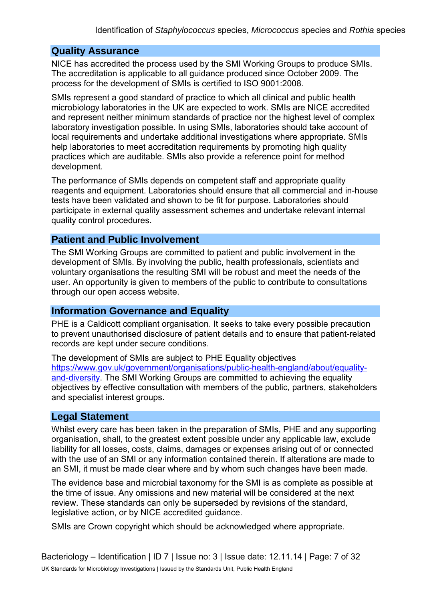#### **Quality Assurance**

NICE has accredited the process used by the SMI Working Groups to produce SMIs. The accreditation is applicable to all guidance produced since October 2009. The process for the development of SMIs is certified to ISO 9001:2008.

SMIs represent a good standard of practice to which all clinical and public health microbiology laboratories in the UK are expected to work. SMIs are NICE accredited and represent neither minimum standards of practice nor the highest level of complex laboratory investigation possible. In using SMIs, laboratories should take account of local requirements and undertake additional investigations where appropriate. SMIs help laboratories to meet accreditation requirements by promoting high quality practices which are auditable. SMIs also provide a reference point for method development.

The performance of SMIs depends on competent staff and appropriate quality reagents and equipment. Laboratories should ensure that all commercial and in-house tests have been validated and shown to be fit for purpose. Laboratories should participate in external quality assessment schemes and undertake relevant internal quality control procedures.

#### **Patient and Public Involvement**

The SMI Working Groups are committed to patient and public involvement in the development of SMIs. By involving the public, health professionals, scientists and voluntary organisations the resulting SMI will be robust and meet the needs of the user. An opportunity is given to members of the public to contribute to consultations through our open access website.

#### **Information Governance and Equality**

PHE is a Caldicott compliant organisation. It seeks to take every possible precaution to prevent unauthorised disclosure of patient details and to ensure that patient-related records are kept under secure conditions.

The development of SMIs are subject to PHE Equality objectives [https://www.gov.uk/government/organisations/public-health-england/about/equality](https://www.gov.uk/government/organisations/public-health-england/about/equality-and-diversity)[and-diversity.](https://www.gov.uk/government/organisations/public-health-england/about/equality-and-diversity) The SMI Working Groups are committed to achieving the equality objectives by effective consultation with members of the public, partners, stakeholders and specialist interest groups.

### **Legal Statement**

Whilst every care has been taken in the preparation of SMIs, PHE and any supporting organisation, shall, to the greatest extent possible under any applicable law, exclude liability for all losses, costs, claims, damages or expenses arising out of or connected with the use of an SMI or any information contained therein. If alterations are made to an SMI, it must be made clear where and by whom such changes have been made.

The evidence base and microbial taxonomy for the SMI is as complete as possible at the time of issue. Any omissions and new material will be considered at the next review. These standards can only be superseded by revisions of the standard, legislative action, or by NICE accredited guidance.

SMIs are Crown copyright which should be acknowledged where appropriate.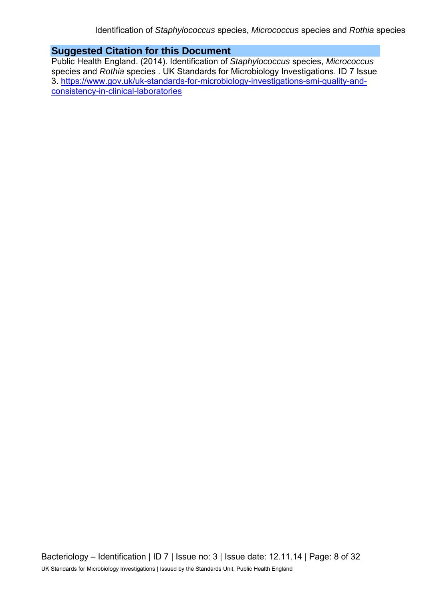### **Suggested Citation for this Document**

Public Health England. (2014). Identification of *Staphylococcus* species, *Micrococcus* species and *Rothia* species . UK Standards for Microbiology Investigations. ID 7 Issue 3. [https://www.gov.uk/uk-standards-for-microbiology-investigations-smi-quality-and](https://www.gov.uk/uk-standards-for-microbiology-investigations-smi-quality-and-consistency-in-clinical-laboratories)[consistency-in-clinical-laboratories](https://www.gov.uk/uk-standards-for-microbiology-investigations-smi-quality-and-consistency-in-clinical-laboratories)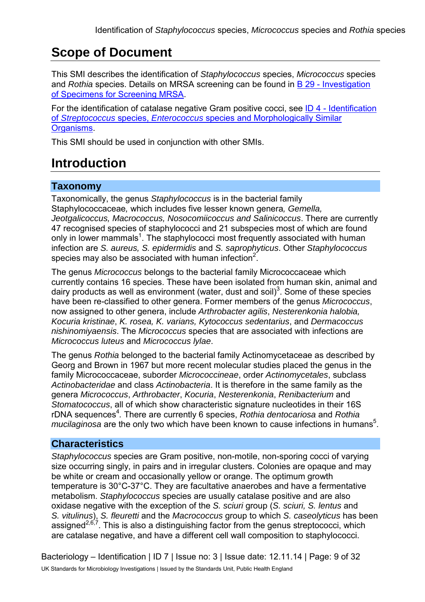# **Scope of Document**

This SMI describes the identification of *Staphylococcus* species, *Micrococcus* species and *Rothia* species. Details on MRSA screening can be found in [B 29 - Investigation](https://www.gov.uk/government/collections/standards-for-microbiology-investigations-smi#bacteriology)  [of Specimens for Screening MRSA.](https://www.gov.uk/government/collections/standards-for-microbiology-investigations-smi#bacteriology)

For the identification of catalase negative Gram positive cocci, see [ID 4 - Identification](https://www.gov.uk/government/collections/standards-for-microbiology-investigations-smi#identification)  of *Streptococcus* species, *Enterococcus* [species and Morphologically Similar](https://www.gov.uk/government/collections/standards-for-microbiology-investigations-smi#identification)  [Organisms.](https://www.gov.uk/government/collections/standards-for-microbiology-investigations-smi#identification)

This SMI should be used in conjunction with other SMIs.

# **Introduction**

### **Taxonomy**

Taxonomically, the genus *Staphylococcus* is in the bacterial family Staphylococcaceae*,* which includes five lesser known genera*, Gemella, [Jeotgalicoccus,](http://www.bacterio.cict.fr/ijk/jeotgalicoccus.html) [Macrococcus,](http://www.bacterio.cict.fr/m/macrococcus.html) [Nosocomiicoccus](http://www.bacterio.cict.fr/n/nosocomiicoccus.html) and [Salinicoccus](http://www.bacterio.cict.fr/s/salinicoccus.html)*. There are currently 47 recognised species of staphylococci and 21 subspecies most of which are found only in lower mammals<sup>1</sup>. The staphylococci most frequently associated with human infection are *S. aureus, S. epidermidis* and *S. saprophyticus*. Other *Staphylococcus*  species may also be associated with human infection<sup>2</sup>.

The genus *Micrococcus* belongs to the bacterial family Micrococcaceae which currently contains 16 species. These have been isolated from human skin, animal and dairy products as well as environment (water, dust and soil)<sup>3</sup>. Some of these species have been re-classified to other genera. Former members of the genus *Micrococcus*, now assigned to other genera, include *Arthrobacter agilis*, *Nesterenkonia halobia, Kocuria kristinae*, *K. rosea, K. varians, Kytococcus sedentarius*, and *Dermacoccus nishinomiyaensis*. The *Micrococcus* species that are associated with infections are *Micrococcus luteus* and *Micrococcus lylae*.

The genus *Rothia* belonged to the bacterial family Actinomycetaceae as described by Georg and Brown in 1967 but more recent molecular studies placed the genus in the family Micrococcaceae, suborder *Micrococcineae*, order *Actinomycetales*, subclass *Actinobacteridae* and class *Actinobacteria*. It is therefore in the same family as the genera *Micrococcus*, *Arthrobacter*, *Kocuria*, *Nesterenkonia*, *Renibacterium* and *Stomatococcus*, all of which show characteristic signature nucleotides in their 16S rDNA sequences<sup>4</sup>. There are currently 6 species, *Rothia dentocariosa* and *Rothia* mucilaginosa are the only two which have been known to cause infections in humans<sup>5</sup>.

# **Characteristics**

*Staphylococcus* species are Gram positive, non-motile, non-sporing cocci of varying size occurring singly, in pairs and in irregular clusters. Colonies are opaque and may be white or cream and occasionally yellow or orange. The optimum growth temperature is 30°C-37°C. They are facultative anaerobes and have a fermentative metabolism. *Staphylococcus* species are usually catalase positive and are also oxidase negative with the exception of the *S. sciuri* group (*S. sciuri, S. lentus* and *S. vitulinus*), *S. fleuretti* and the *Macrococcus* group to which *S. caseolyticus* has been assigned<sup>2,6,7</sup>. This is also a distinguishing factor from the genus streptococci, which are catalase negative, and have a different cell wall composition to staphylococci.

Bacteriology – Identification | ID 7 | Issue no: 3 | Issue date: 12.11.14 | Page: 9 of 32 UK Standards for Microbiology Investigations | Issued by the Standards Unit, Public Health England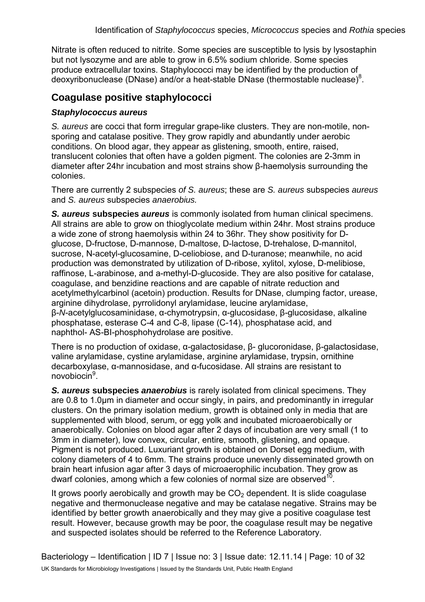Nitrate is often reduced to nitrite. Some species are susceptible to lysis by lysostaphin but not lysozyme and are able to grow in 6.5% sodium chloride. Some species produce extracellular toxins. Staphylococci may be identified by the production of deoxyribonuclease (DNase) and/or a heat-stable DNase (thermostable nuclease) $^{8}$ .

### **Coagulase positive staphylococci**

#### *Staphylococcus aureus*

*S. aureus* are cocci that form irregular grape-like clusters. They are non-motile, nonsporing and catalase positive. They grow rapidly and abundantly under aerobic conditions. On blood agar, they appear as glistening, smooth, entire, raised, translucent colonies that often have a golden pigment. The colonies are 2-3mm in diameter after 24hr incubation and most strains show β-haemolysis surrounding the colonies.

There are currently 2 subspecies *of S. aureus*; these are *S. aureus* subspecies *aureus* and *S. aureus* subspecies *anaerobius.*

*S. aureus* **subspecies** *aureus* is commonly isolated from human clinical specimens. All strains are able to grow on thioglycolate medium within 24hr. Most strains produce a wide zone of strong haemolysis within 24 to 36hr. They show positivity for Dglucose, D-fructose, D-mannose, D-maltose, D-lactose, D-trehalose, D-mannitol, sucrose, N-acetyl-glucosamine, D-celiobiose, and D-turanose; meanwhile, no acid production was demonstrated by utilization of D-ribose, xylitol, xylose, D-melibiose, raffinose, L-arabinose, and a-methyl-D-glucoside. They are also positive for catalase, coagulase, and benzidine reactions and are capable of nitrate reduction and acetylmethylcarbinol (acetoin) production. Results for DNase, clumping factor, urease, arginine dihydrolase, pyrrolidonyl arylamidase, leucine arylamidase, β-*N*-acetylglucosaminidase, α-chymotrypsin, α-glucosidase, β-glucosidase, alkaline phosphatase, esterase C-4 and C-8, lipase (C-14), phosphatase acid, and naphthol- AS-BI-phosphohydrolase are positive.

There is no production of oxidase, α-galactosidase, β- glucoronidase, β-galactosidase, valine arylamidase, cystine arylamidase, arginine arylamidase, trypsin, ornithine decarboxylase, α-mannosidase, and α-fucosidase. All strains are resistant to novobiocin<sup>9</sup>.

*S. aureus* **subspecies** *anaerobius* is rarely isolated from clinical specimens. They are 0.8 to 1.0µm in diameter and occur singly, in pairs, and predominantly in irregular clusters. On the primary isolation medium, growth is obtained only in media that are supplemented with blood, serum, or egg yolk and incubated microaerobically or anaerobically. Colonies on blood agar after 2 days of incubation are very small (1 to 3mm in diameter), low convex, circular, entire, smooth, glistening, and opaque. Pigment is not produced. Luxuriant growth is obtained on Dorset egg medium, with colony diameters of 4 to 6mm. The strains produce unevenly disseminated growth on brain heart infusion agar after 3 days of microaerophilic incubation. They grow as dwarf colonies, among which a few colonies of normal size are observed<sup>10</sup>

It grows poorly aerobically and growth may be  $CO<sub>2</sub>$  dependent. It is slide coagulase negative and thermonuclease negative and may be catalase negative. Strains may be identified by better growth anaerobically and they may give a positive coagulase test result. However, because growth may be poor, the coagulase result may be negative and suspected isolates should be referred to the Reference Laboratory.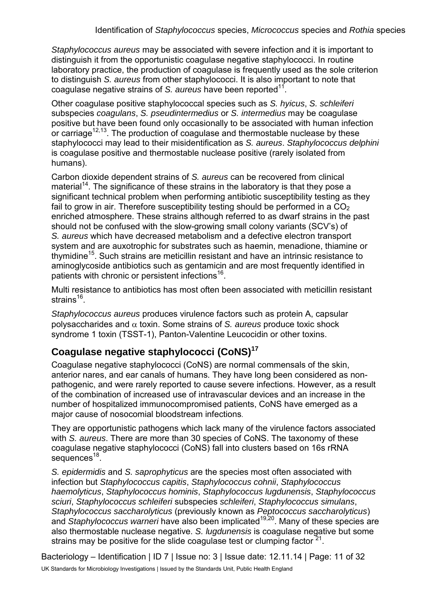*Staphylococcus aureus* may be associated with severe infection and it is important to distinguish it from the opportunistic coagulase negative staphylococci. In routine laboratory practice, the production of coagulase is frequently used as the sole criterion to distinguish *S. aureus* from other staphylococci. It is also important to note that coagulase negative strains of *S. aureus* have been reported<sup>11</sup>.

Other coagulase positive staphylococcal species such as *S. hyicus*, *S. schleiferi* subspecies *coagulans*, *S. pseudintermedius* or *S. intermedius* may be coagulase positive but have been found only occasionally to be associated with human infection or carriage<sup>12,13</sup>. The production of coagulase and thermostable nuclease by these staphylococci may lead to their misidentification as *S. aureus*. *Staphylococcus delphini* is coagulase positive and thermostable nuclease positive (rarely isolated from humans).

Carbon dioxide dependent strains of *S. aureus* can be recovered from clinical material<sup>14</sup>. The significance of these strains in the laboratory is that they pose a significant technical problem when performing antibiotic susceptibility testing as they fail to grow in air. Therefore susceptibility testing should be performed in a  $CO<sub>2</sub>$ enriched atmosphere. These strains although referred to as dwarf strains in the past should not be confused with the slow-growing small colony variants (SCV's) of *S. aureus* which have decreased metabolism and a defective electron transport system and are auxotrophic for substrates such as haemin, menadione, thiamine or thymidine<sup>15</sup>. Such strains are meticillin resistant and have an intrinsic resistance to aminoglycoside antibiotics such as gentamicin and are most frequently identified in patients with chronic or persistent infections<sup>16</sup>.

Multi resistance to antibiotics has most often been associated with meticillin resistant strains $16$ .

*Staphylococcus aureus* produces virulence factors such as protein A, capsular polysaccharides and α toxin. Some strains of *S. aureus* produce toxic shock syndrome 1 toxin (TSST-1), Panton-Valentine Leucocidin or other toxins.

# **Coagulase negative staphylococci (CoNS)<sup>17</sup>**

Coagulase negative staphylococci (CoNS) are normal commensals of the skin, anterior nares, and ear canals of humans. They have long been considered as nonpathogenic, and were rarely reported to cause severe infections. However, as a result of the combination of increased use of intravascular devices and an increase in the number of hospitalized immunocompromised patients, CoNS have emerged as a major cause of nosocomial bloodstream infections.

They are opportunistic pathogens which lack many of the virulence factors associated with *S. aureus*. There are more than 30 species of CoNS. The taxonomy of these coagulase negative staphylococci (CoNS) fall into clusters based on 16s rRNA  $secu$ ences<sup>18</sup>.

*S. epidermidis* and *S. saprophyticus* are the species most often associated with infection but *Staphylococcus capitis*, *Staphylococcus cohnii*, *Staphylococcus haemolyticus*, *Staphylococcus hominis*, *Staphylococcus lugdunensis*, *Staphylococcus sciuri*, *Staphylococcus schleiferi* subspecies *schleiferi*, *Staphylococcus simulans*, *Staphylococcus saccharolyticus* (previously known as *Peptococcus saccharolyticus*) and *Staphylococcus warneri* have also been implicated<sup>19,20</sup>. Many of these species are also thermostable nuclease negative. *S. lugdunensis* is coagulase negative but some strains may be positive for the slide coagulase test or clumping factor  $21$ .

Bacteriology – Identification | ID 7 | Issue no: 3 | Issue date: 12.11.14 | Page: 11 of 32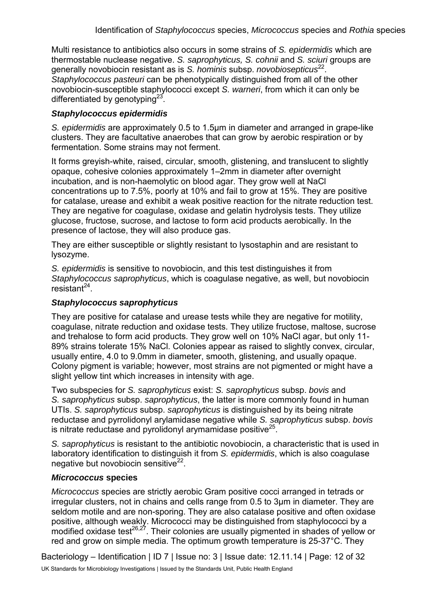Multi resistance to antibiotics also occurs in some strains of *S. epidermidis* which are thermostable nuclease negative. *S. saprophyticus, S. cohnii* and *S. sciuri* groups are generally novobiocin resistant as is *S. hominis* subsp. *novobiosepticus*22. *Staphylococcus pasteuri* can be phenotypically distinguished from all of the other novobiocin-susceptible staphylococci except *S. warneri*, from which it can only be differentiated by genotyping $^{23}$ .

#### *Staphylococcus epidermidis*

*S. epidermidis* are approximately 0.5 to 1.5µm in diameter and arranged in grape-like clusters. They are [facultative anaerobes](http://en.wikipedia.org/wiki/Facultative_anaerobe) that can grow by [aerobic respiration](http://en.wikipedia.org/wiki/Aerobic_respiration) or by [fermentation.](http://en.wikipedia.org/wiki/Fermentation_(biochemistry)) Some strains may not ferment.

It forms greyish-white, raised, circular, smooth, glistening, and translucent to slightly opaque, cohesive colonies approximately 1–2mm in diameter after overnight incubation, and is non-haemolytic on blood agar. They grow well at NaCl concentrations up to 7.5%, poorly at 10% and fail to grow at 15%. They are positive for [catalase,](http://en.wikipedia.org/wiki/Catalase) urease and exhibit a weak positive reaction for the nitrate reduction test. They are negative for [coagulase,](http://en.wikipedia.org/wiki/Coagulase) oxidase and gelatin hydrolysis tests. They utilize glucose, fructose, sucrose, and lactose to form acid products aerobically. In the presence of lactose, they will also produce gas.

They are either susceptible or slightly resistant to lysostaphin and are resistant to lysozyme.

*S. epidermidis* is sensitive to [novobiocin,](http://en.wikipedia.org/wiki/Novobiocin) and this test distinguishes it from *[Staphylococcus saprophyticus](http://en.wikipedia.org/wiki/Staphylococcus_saprophyticus)*, which is coagulase negative, as well, but novobiocin resistant $^{24}$ .

#### *Staphylococcus saprophyticus*

They are positive for catalase and urease tests while they are negative for motility, [coagulase,](http://en.wikipedia.org/wiki/Coagulase) nitrate reduction and oxidase tests. They utilize fructose, maltose, sucrose and trehalose to form acid products. They grow well on 10% NaCl agar, but only 11- 89% strains tolerate 15% NaCl. Colonies appear as raised to slightly convex, circular, usually entire, 4.0 to 9.0mm in diameter, smooth, glistening, and usually opaque. Colony pigment is variable; however, most strains are not pigmented or might have a slight yellow tint which increases in intensity with age.

Two subspecies for *S. saprophyticus* exist: *S. saprophyticus* subsp. *bovis* and *S. saprophyticus* subsp. *saprophyticus*, the latter is more commonly found in human UTIs. *S. saprophyticus* subsp. *saprophyticus* is distinguished by its being nitrate reductase and pyrrolidonyl arylamidase negative while *S. saprophyticus* subsp. *bovis* is nitrate reductase and pyrolidonyl arymamidase positive $^{25}$ .

*S. saprophyticus* is resistant to the antibiotic [novobiocin,](http://en.wikipedia.org/wiki/Novobiocin) a characteristic that is used in laboratory identification to distinguish it from *[S. epidermidis](http://en.wikipedia.org/wiki/Staphylococcus_epidermidis)*, which is also coagulase negative but novobiocin sensitive $^{22}$ .

#### *Micrococcus* **species**

*Micrococcus* species are strictly aerobic Gram positive cocci arranged in tetrads or irregular clusters, not in chains and cells range from 0.5 to 3µm in diameter. They are seldom motile and are non-sporing. They are also catalase positive and often oxidase positive, although weakly. Micrococci may be distinguished from staphylococci by a modified oxidase test<sup>26,27</sup>. Their colonies are usually pigmented in shades of yellow or red and grow on simple media. The optimum growth temperature is 25-37°C. They

Bacteriology – Identification | ID 7 | Issue no: 3 | Issue date: 12.11.14 | Page: 12 of 32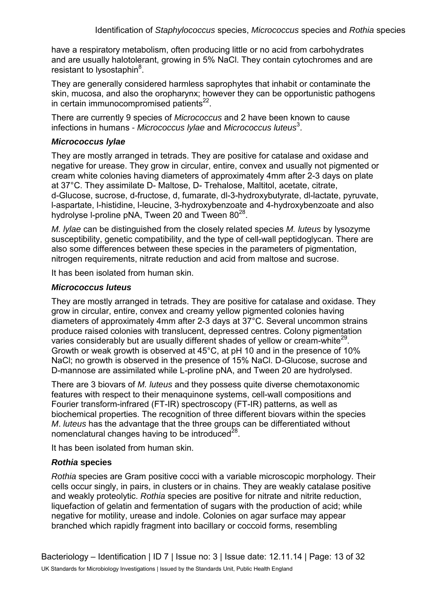have a respiratory metabolism, often producing little or no acid from carbohydrates and are usually halotolerant, growing in 5% NaCl. They contain cytochromes and are resistant to lysostaphin<sup>8</sup>.

They are generally considered harmless saprophytes that inhabit or contaminate the skin, mucosa, and also the oropharynx; however they can be opportunistic pathogens in certain immunocompromised patients $^{22}$ .

There are currently 9 species of *Micrococcus* and 2 have been known to cause infections in humans *- Micrococcus lylae* and *Micrococcus luteus*<sup>3</sup> .

#### *Micrococcus lylae*

They are mostly arranged in tetrads. They are positive for catalase and oxidase and negative for urease. They grow in circular, entire, convex and usually not pigmented or cream white colonies having diameters of approximately 4mm after 2-3 days on plate at 37°C. They assimilate D- Maltose, D- Trehalose, Maltitol, acetate, citrate, d-Glucose, sucrose, d-fructose, d, fumarate, dl-3-hydroxybutyrate, dl-lactate, pyruvate, l-aspartate, l-histidine, l-leucine, 3-hydroxybenzoate and 4-hydroxybenzoate and also hydrolyse I-proline pNA, Tween 20 and Tween  $80^{28}$ .

*M. lylae* can be distinguished from the closely related species *M. luteus* by lysozyme susceptibility, genetic compatibility, and the type of cell-wall peptidoglycan. There are also some differences between these species in the parameters of pigmentation, nitrogen requirements, nitrate reduction and acid from maltose and sucrose.

It has been isolated from human skin.

#### *Micrococcus luteus*

They are mostly arranged in tetrads. They are positive for catalase and oxidase. They grow in circular, entire, convex and creamy yellow pigmented colonies having diameters of approximately 4mm after 2-3 days at 37°C. Several uncommon strains produce raised colonies with translucent, depressed centres. Colony pigmentation varies considerably but are usually different shades of yellow or cream-white<sup>29</sup>. Growth or weak growth is observed at 45°C, at pH 10 and in the presence of 10% NaCl; no growth is observed in the presence of 15% NaCl. D-Glucose, sucrose and D-mannose are assimilated while L-proline pNA, and Tween 20 are hydrolysed.

There are 3 biovars of *M. luteus* and they possess quite diverse chemotaxonomic features with respect to their menaquinone systems, cell-wall compositions and Fourier transform-infrared (FT-IR) spectroscopy (FT-IR) patterns, as well as biochemical properties. The recognition of three different biovars within the species *M*. *luteus* has the advantage that the three groups can be differentiated without nomenclatural changes having to be introduced $^{28}$ .

It has been isolated from human skin.

#### *Rothia* **species**

*Rothia* species are Gram positive cocci with a variable microscopic morphology. Their cells occur singly, in pairs, in clusters or in chains. They are weakly catalase positive and weakly proteolytic. *Rothia* species are positive for nitrate and nitrite reduction, liquefaction of gelatin and fermentation of sugars with the production of acid; while negative for motility, urease and indole. Colonies on agar surface may appear branched which rapidly fragment into bacillary or coccoid forms, resembling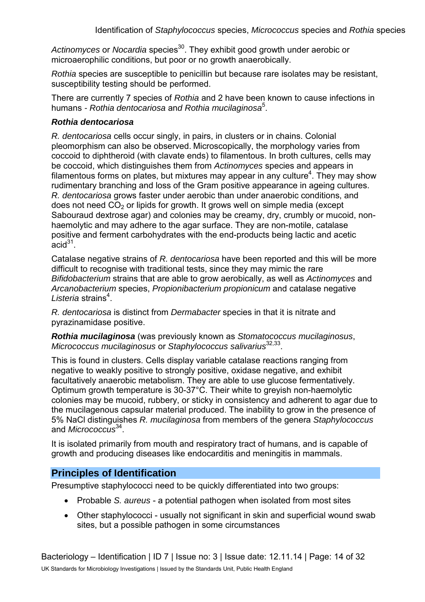Actinomyces or *Nocardia* species<sup>30</sup>. They exhibit good growth under aerobic or microaerophilic conditions, but poor or no growth anaerobically.

*Rothia* species are susceptible to penicillin but because rare isolates may be resistant, susceptibility testing should be performed.

There are currently 7 species of *Rothia* and 2 have been known to cause infections in humans *- Rothia dentocariosa* an*d Rothia mucilaginosa*<sup>5</sup> .

#### *Rothia dentocariosa*

*R. dentocariosa* cells occur singly, in pairs, in clusters or in chains. Colonial pleomorphism can also be observed. Microscopically, the morphology varies from coccoid to diphtheroid (with clavate ends) to filamentous. In broth cultures, cells may be coccoid, which distinguishes them from *Actinomyces* species and appears in filamentous forms on plates, but mixtures may appear in any culture<sup>4</sup>. They may show rudimentary branching and loss of the Gram positive appearance in ageing cultures. *R. dentocariosa* grows faster under aerobic than under anaerobic conditions, and does not need  $CO<sub>2</sub>$  or lipids for growth. It grows well on simple media (except Sabouraud dextrose agar) and colonies may be creamy, dry, crumbly or mucoid, nonhaemolytic and may adhere to the agar surface. They are non-motile, catalase positive and ferment carbohydrates with the end-products being lactic and acetic  $acid<sup>31</sup>$ .

Catalase negative strains of *R. dentocariosa* have been reported and this will be more difficult to recognise with traditional tests, since they may mimic the rare *Bifidobacterium* strains that are able to grow aerobically, as well as *Actinomyces* and *Arcanobacterium* species, *Propionibacterium propionicum* and catalase negative Listeria strains<sup>4</sup>.

*R. dentocariosa* is distinct from *Dermabacter* species in that it is nitrate and pyrazinamidase positive.

*Rothia mucilaginosa* (was previously known as *Stomatococcus mucilaginosus*, *Micrococcus mucilaginosus* or *Staphylococcus salivarius*32,33.

This is found in clusters. Cells display variable catalase reactions ranging from negative to weakly positive to strongly positive, oxidase negative, and exhibit facultatively anaerobic metabolism. They are able to use glucose fermentatively. Optimum growth temperature is 30-37°C. Their white to greyish non-haemolytic colonies may be mucoid, rubbery, or sticky in consistency and adherent to agar due to the mucilagenous capsular material produced. The inability to grow in the presence of 5% NaCl distinguishes *R. mucilaginosa* from members of the genera *Staphylococcus*  and *Micrococcus*34.

It is isolated primarily from mouth and respiratory tract of humans, and is capable of growth and producing diseases like endocarditis and meningitis in mammals.

### **Principles of Identification**

Presumptive staphylococci need to be quickly differentiated into two groups:

- Probable *S. aureus* a potential pathogen when isolated from most sites
- Other staphylococci usually not significant in skin and superficial wound swab sites, but a possible pathogen in some circumstances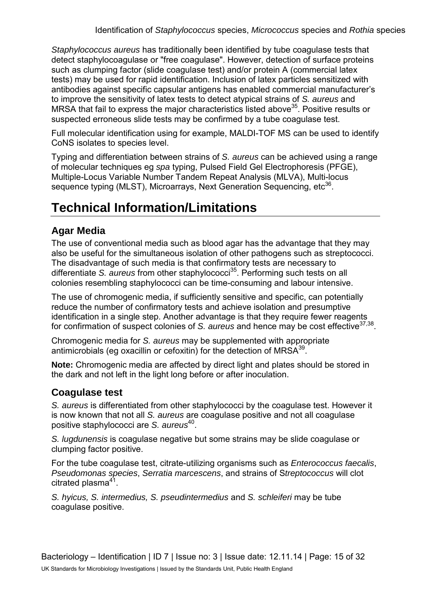*Staphylococcus aureus* has traditionally been identified by tube coagulase tests that detect staphylocoagulase or "free coagulase". However, detection of surface proteins such as clumping factor (slide coagulase test) and/or protein A (commercial latex tests) may be used for rapid identification. Inclusion of latex particles sensitized with antibodies against specific capsular antigens has enabled commercial manufacturer's to improve the sensitivity of latex tests to detect atypical strains of *S. aureus* and MRSA that fail to express the major characteristics listed above  $35$ . Positive results or suspected erroneous slide tests may be confirmed by a tube coagulase test.

Full molecular identification using for example, MALDI-TOF MS can be used to identify CoNS isolates to species level.

Typing and differentiation between strains of *S. aureus* can be achieved using a range of molecular techniques eg *spa* typing, Pulsed Field Gel Electrophoresis (PFGE), Multiple-Locus Variable Number Tandem Repeat Analysis (MLVA), Multi-locus sequence typing (MLST), Microarrays, Next Generation Sequencing, etc<sup>36</sup>.

# **Technical Information/Limitations**

# **Agar Media**

The use of conventional media such as blood agar has the advantage that they may also be useful for the simultaneous isolation of other pathogens such as streptococci. The disadvantage of such media is that confirmatory tests are necessary to differentiate *S. aureus* from other staphylococci<sup>35</sup>. Performing such tests on all colonies resembling staphylococci can be time-consuming and labour intensive.

The use of chromogenic media, if sufficiently sensitive and specific, can potentially reduce the number of confirmatory tests and achieve isolation and presumptive identification in a single step. Another advantage is that they require fewer reagents for confirmation of suspect colonies of *S. aureus* and hence may be cost effective37,38.

Chromogenic media for *S. aureus* may be supplemented with appropriate antimicrobials (eg oxacillin or cefoxitin) for the detection of  $MRSA<sup>39</sup>$ .

**Note:** Chromogenic media are affected by direct light and plates should be stored in the dark and not left in the light long before or after inoculation.

# **Coagulase test**

*S. aureus* is differentiated from other staphylococci by the coagulase test. However it is now known that not all *S. aureus* are coagulase positive and not all coagulase positive staphylococci are *S. aureus*40.

*S. lugdunensis* is coagulase negative but some strains may be slide coagulase or clumping factor positive.

For the tube coagulase test, citrate-utilizing organisms such as *Enterococcus faecalis*, *Pseudomonas species*, *Serratia marcescens*, and strains of S*treptococcus* will clot citrated plasma $41$ .

*S. hyicus, S. intermedius, S. pseudintermedius* and *S. schleiferi* may be tube coagulase positive.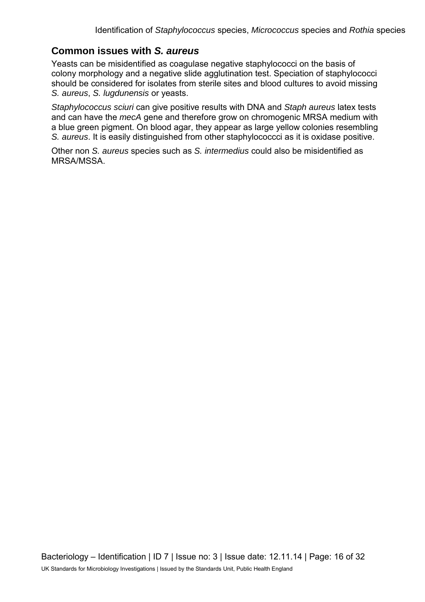### **Common issues with** *S. aureus*

Yeasts can be misidentified as coagulase negative staphylococci on the basis of colony morphology and a negative slide agglutination test. Speciation of staphylococci should be considered for isolates from sterile sites and blood cultures to avoid missing *S. aureus*, *S. lugdunensis* or yeasts.

*Staphylococcus sciuri* can give positive results with DNA and *Staph aureus* latex tests and can have the *mecA* gene and therefore grow on chromogenic MRSA medium with a blue green pigment. On blood agar, they appear as large yellow colonies resembling *S. aureus*. It is easily distinguished from other staphylococcci as it is oxidase positive.

Other non *S. aureus* species such as *S. intermedius* could also be misidentified as MRSA/MSSA.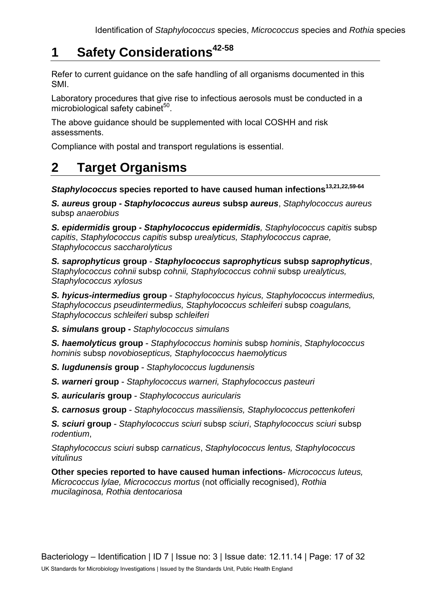# **1 Safety Considerations42-58**

Refer to current guidance on the safe handling of all organisms documented in this SMI.

Laboratory procedures that give rise to infectious aerosols must be conducted in a microbiological safety cabinet $50$ .

The above guidance should be supplemented with local COSHH and risk assessments.

Compliance with postal and transport regulations is essential.

# **2 Target Organisms**

*Staphylococcus* **species reported to have caused human infections13,21,22,59-64**

*S. aureus* **group -** *Staphylococcus aureus* **subsp** *aureus*, *Staphylococcus aureus* subsp *anaerobius*

*S. epidermidis* **group -** *Staphylococcus epidermidis, Staphylococcus capitis* subsp *capitis*, *Staphylococcus capitis* subsp *urealyticus, Staphylococcus caprae, Staphylococcus saccharolyticus*

*S. saprophyticus* **group** - *Staphylococcus saprophyticus* **subsp** *saprophyticus*, *Staphylococcus cohnii* subsp *cohnii, Staphylococcus cohnii* subsp *urealyticus, Staphylococcus xylosus*

*S. hyicus-intermedius* **group** - *Staphylococcus hyicus, Staphylococcus intermedius, Staphylococcus pseudintermedius, Staphylococcus schleiferi* subsp *coagulans, Staphylococcus schleiferi* subsp *schleiferi*

*S. simulans* **group -** *Staphylococcus simulans*

*S. haemolyticus* **group** - *Staphylococcus hominis* subsp *hominis*, *Staphylococcus hominis* subsp *novobiosepticus, Staphylococcus haemolyticus*

- *S. lugdunensis* **group** *Staphylococcus lugdunensis*
- *S. warneri* **group** *Staphylococcus warneri, Staphylococcus pasteuri*
- *S. auricularis* **group** *Staphylococcus auricularis*

*S. carnosus* **group** - *Staphylococcus massiliensis, Staphylococcus pettenkoferi*

*S. sciuri* **group** - *Staphylococcus sciuri* subsp *sciuri*, *Staphylococcus sciuri* subsp *rodentium*,

*Staphylococcus sciuri* subsp *carnaticus*, *Staphylococcus lentus, Staphylococcus vitulinus*

**Other species reported to have caused human infections**- *Micrococcus luteus, Micrococcus lylae, Micrococcus mortus* (not officially recognised), *Rothia mucilaginosa, Rothia dentocariosa*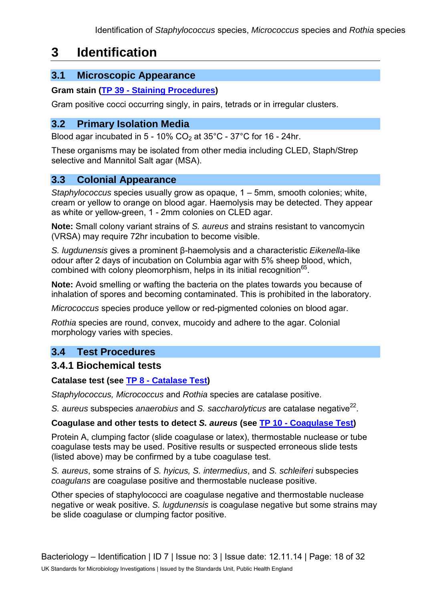# **3 Identification**

# **3.1 Microscopic Appearance**

#### **Gram stain [\(TP 39 - Staining Procedures\)](https://www.gov.uk/government/collections/standards-for-microbiology-investigations-smi#test-procedures)**

Gram positive cocci occurring singly, in pairs, tetrads or in irregular clusters.

### **3.2 Primary Isolation Media**

Blood agar incubated in  $5 - 10\%$  CO<sub>2</sub> at  $35^{\circ}$ C -  $37^{\circ}$ C for 16 - 24hr.

These organisms may be isolated from other media including CLED, Staph/Strep selective and Mannitol Salt agar (MSA).

### **3.3 Colonial Appearance**

*Staphylococcus* species usually grow as opaque, 1 – 5mm, smooth colonies; white, cream or yellow to orange on blood agar. Haemolysis may be detected. They appear as white or yellow-green, 1 - 2mm colonies on CLED agar.

**Note:** Small colony variant strains of *S. aureus* and strains resistant to vancomycin (VRSA) may require 72hr incubation to become visible.

*S. lugdunensis* gives a prominent β-haemolysis and a characteristic *Eikenella*-like odour after 2 days of incubation on Columbia agar with 5% sheep blood, which, combined with colony pleomorphism, helps in its initial recognition<sup>65</sup>.

**Note:** Avoid smelling or wafting the bacteria on the plates towards you because of inhalation of spores and becoming contaminated. This is prohibited in the laboratory.

*Micrococcus* species produce yellow or red-pigmented colonies on blood agar.

*Rothia* species are round, convex, mucoidy and adhere to the agar. Colonial morphology varies with species.

# **3.4 Test Procedures**

### **3.4.1 Biochemical tests**

#### **Catalase test (see [TP 8 - Catalase Test\)](https://www.gov.uk/government/collections/standards-for-microbiology-investigations-smi#test-procedures)**

*Staphylococcus, Micrococcus* and *Rothia* species are catalase positive.

*S. aureus* subspecies *anaerobius* and *S. saccharolyticus* are catalase negative<sup>22</sup>.

#### **Coagulase and other tests to detect** *S. aureus* **(see [TP 10 - Coagulase Test\)](https://www.gov.uk/government/collections/standards-for-microbiology-investigations-smi#test-procedures)**

Protein A, clumping factor (slide coagulase or latex), thermostable nuclease or tube coagulase tests may be used. Positive results or suspected erroneous slide tests (listed above) may be confirmed by a tube coagulase test.

*S. aureus*, some strains of *S. hyicus, S. intermedius*, and *S. schleiferi* subspecies *coagulans* are coagulase positive and thermostable nuclease positive.

Other species of staphylococci are coagulase negative and thermostable nuclease negative or weak positive. *S. lugdunensis* is coagulase negative but some strains may be slide coagulase or clumping factor positive.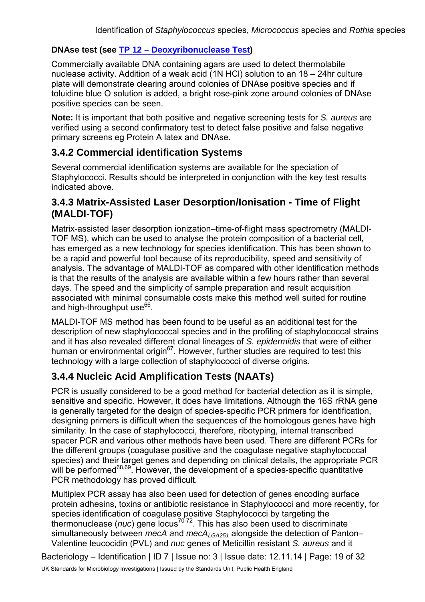#### **DNAse test (see [TP 12 – Deoxyribonuclease Test\)](https://www.gov.uk/government/collections/standards-for-microbiology-investigations-smi#test-procedures)**

Commercially available DNA containing agars are used to detect thermolabile nuclease activity. Addition of a weak acid (1N HCl) solution to an 18 – 24hr culture plate will demonstrate clearing around colonies of DNAse positive species and if toluidine blue O solution is added, a bright rose-pink zone around colonies of DNAse positive species can be seen.

**Note:** It is important that both positive and negative screening tests for *S. aureus* are verified using a second confirmatory test to detect false positive and false negative primary screens eg Protein A latex and DNAse.

### **3.4.2 Commercial identification Systems**

Several commercial identification systems are available for the speciation of Staphylococci. Results should be interpreted in conjunction with the key test results indicated above.

#### **3.4.3 Matrix-Assisted Laser Desorption/Ionisation - Time of Flight (MALDI-TOF)**

Matrix-assisted laser desorption ionization–time-of-flight mass spectrometry (MALDI-TOF MS), which can be used to analyse the protein composition of a bacterial cell, has emerged as a new technology for species identification. This has been shown to be a rapid and powerful tool because of its reproducibility, speed and sensitivity of analysis. The advantage of MALDI-TOF as compared with other identification methods is that the results of the analysis are available within a few hours rather than several days. The speed and the simplicity of sample preparation and result acquisition associated with minimal consumable costs make this method well suited for routine and high-throughput use $66$ .

MALDI-TOF MS method has been found to be useful as an additional test for the description of new staphylococcal species and in the profiling of staphylococcal strains and it has also revealed different clonal lineages of *S. epidermidis* that were of either human or environmental origin<sup>67</sup>. However, further studies are required to test this technology with a large collection of staphylococci of diverse origins.

# **3.4.4 Nucleic Acid Amplification Tests (NAATs)**

PCR is usually considered to be a good method for bacterial detection as it is simple, sensitive and specific. However, it does have limitations. Although the 16S rRNA gene is generally targeted for the design of species-specific PCR primers for identification, designing primers is difficult when the sequences of the homologous genes have high similarity. In the case of staphylococci, therefore, ribotyping, internal transcribed spacer PCR and various other methods have been used. There are different PCRs for the different groups (coagulase positive and the coagulase negative staphylococcal species) and their target genes and depending on clinical details, the appropriate PCR will be performed<sup>68,69</sup>. However, the development of a species-specific quantitative PCR methodology has proved difficult.

Multiplex PCR assay has also been used for detection of genes encoding surface protein adhesins, toxins or antibiotic resistance in Staphylococci and more recently, for species identification of coagulase positive Staphylococci by targeting the thermonuclease (*nuc*) gene locus70-72. This has also been used to discriminate simultaneously between *mecA* and *mecA<sub>LGA251</sub>* alongside the detection of Panton– Valentine leucocidin (PVL) and *nuc* genes of Meticillin resistant *S. aureus* and it

Bacteriology - Identification | ID 7 | Issue no: 3 | Issue date: 12.11.14 | Page: 19 of 32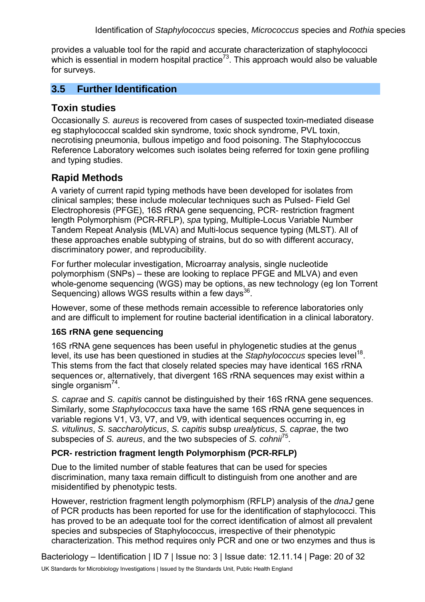provides a valuable tool for the rapid and accurate characterization of staphylococci which is essential in modern hospital practice<sup>73</sup>. This approach would also be valuable for surveys.

# **3.5 Further Identification**

### **Toxin studies**

Occasionally *S. aureus* is recovered from cases of suspected toxin-mediated disease eg staphylococcal scalded skin syndrome, toxic shock syndrome, PVL toxin, necrotising pneumonia, bullous impetigo and food poisoning. The Staphylococcus Reference Laboratory welcomes such isolates being referred for toxin gene profiling and typing studies.

# **Rapid Methods**

A variety of current rapid typing methods have been developed for isolates from clinical samples; these include molecular techniques such as Pulsed- Field Gel Electrophoresis (PFGE), 16S rRNA gene sequencing, PCR- restriction fragment length Polymorphism (PCR-RFLP), *spa* typing, Multiple-Locus Variable Number Tandem Repeat Analysis (MLVA) and Multi-locus sequence typing (MLST). All of these approaches enable subtyping of strains, but do so with different accuracy, discriminatory power, and reproducibility.

For further molecular investigation, Microarray analysis, single nucleotide polymorphism (SNPs) – these are looking to replace PFGE and MLVA) and even whole-genome sequencing (WGS) may be options, as new technology (eg Ion Torrent Sequencing) allows WGS results within a few days $^{36}$ .

However, some of these methods remain accessible to reference laboratories only and are difficult to implement for routine bacterial identification in a clinical laboratory.

#### **16S rRNA gene sequencing**

16S rRNA gene sequences has been useful in phylogenetic studies at the genus level, its use has been questioned in studies at the *Staphylococcus* species level<sup>18</sup>. This stems from the fact that closely related species may have identical 16S rRNA sequences or, alternatively, that divergent 16S rRNA sequences may exist within a single organism $^{74}$ .

*S. caprae* and *S. capitis* cannot be distinguished by their 16S rRNA gene sequences. Similarly, some *Staphylococcus* taxa have the same 16S rRNA gene sequences in variable regions V1, V3, V7, and V9, with identical sequences occurring in, eg *S. vitulinus*, *S. saccharolyticus*, *S. capitis* subsp *urealyticus*, *S. caprae*, the two subspecies of *S. aureus*, and the two subspecies of *S. cohnii*75.

#### **PCR- restriction fragment length Polymorphism (PCR-RFLP)**

Due to the limited number of stable features that can be used for species discrimination, many taxa remain difficult to distinguish from one another and are misidentified by phenotypic tests.

However, restriction fragment length polymorphism (RFLP) analysis of the *dnaJ* gene of PCR products has been reported for use for the identification of staphylococci. This has proved to be an adequate tool for the correct identification of almost all prevalent species and subspecies of Staphylococcus, irrespective of their phenotypic characterization. This method requires only PCR and one or two enzymes and thus is

Bacteriology – Identification | ID 7 | Issue no: 3 | Issue date: 12.11.14 | Page: 20 of 32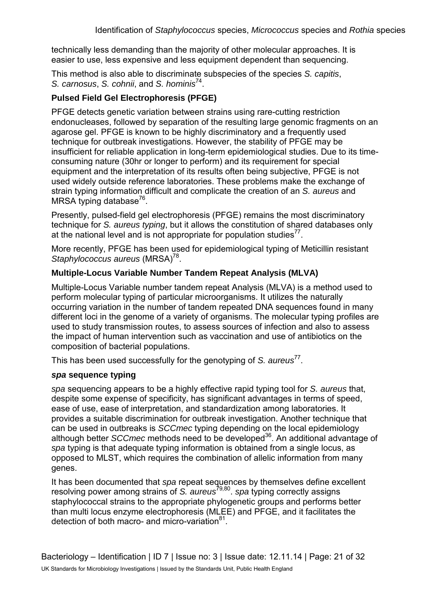technically less demanding than the majority of other molecular approaches. It is easier to use, less expensive and less equipment dependent than sequencing.

This method is also able to discriminate subspecies of the species *S. capitis*, *S. carnosus, S. cohnii, and S. hominis*<sup>74</sup>.

#### **Pulsed Field Gel Electrophoresis (PFGE)**

PFGE detects genetic variation between strains using rare-cutting restriction endonucleases, followed by separation of the resulting large genomic fragments on an agarose gel. PFGE is known to be highly discriminatory and a frequently used technique for outbreak investigations. However, the stability of PFGE may be insufficient for reliable application in long-term epidemiological studies. Due to its timeconsuming nature (30hr or longer to perform) and its requirement for special equipment and the interpretation of its results often being subjective, PFGE is not used widely outside reference laboratories. These problems make the exchange of strain typing information difficult and complicate the creation of an *S. aureus* and MRSA typing database<sup>76</sup>.

Presently, pulsed-field gel electrophoresis (PFGE) remains the most discriminatory technique for *S. aureus typing*, but it allows the constitution of shared databases only at the national level and is not appropriate for population studies<sup>77</sup>.

More recently, PFGE has been used for epidemiological typing of Meticillin resistant *Staphylococcus aureus* (MRSA)<sup>78</sup>.

#### **Multiple-Locus Variable Number Tandem Repeat Analysis (MLVA)**

Multiple-Locus Variable number tandem repeat Analysis (MLVA) is a method used to perform molecular typing of particular microorganisms. It utilizes the naturally occurring variation in the number of tandem repeated DNA sequences found in many different loci in the genome of a variety of organisms. The molecular typing profiles are used to study transmission routes, to assess sources of infection and also to assess the impact of human intervention such as vaccination and use of antibiotics on the composition of bacterial populations.

This has been used successfully for the genotyping of *S. aureus*<sup>77</sup>.

#### *spa* **sequence typing**

*spa* sequencing appears to be a highly effective rapid typing tool for *S. aureus* that, despite some expense of specificity, has significant advantages in terms of speed, ease of use, ease of interpretation, and standardization among laboratories. It provides a suitable discrimination for outbreak investigation. Another technique that can be used in outbreaks is *SCCmec* typing depending on the local epidemiology although better *SCCmec* methods need to be developed36. An additional advantage of *spa* typing is that adequate typing information is obtained from a single locus, as opposed to MLST, which requires the combination of allelic information from many genes.

It has been documented that *spa* repeat sequences by themselves define excellent resolving power among strains of *S. aureus*79,80. *spa* typing correctly assigns staphylococcal strains to the appropriate phylogenetic groups and performs better than multi locus enzyme electrophoresis (MLEE) and PFGE, and it facilitates the detection of both macro- and micro-variation<sup>81</sup>.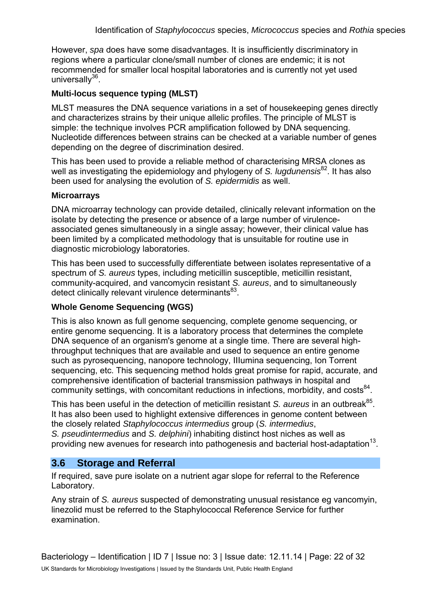However, *spa* does have some disadvantages. It is insufficiently discriminatory in regions where a particular clone/small number of clones are endemic; it is not recommended for smaller local hospital laboratories and is currently not yet used universally $36$ .

#### **Multi-locus sequence typing (MLST)**

MLST measures the DNA sequence variations in a set of housekeeping genes directly and characterizes strains by their unique allelic profiles. The principle of MLST is simple: the technique involves PCR amplification followed by DNA sequencing. Nucleotide differences between strains can be checked at a variable number of genes depending on the degree of discrimination desired.

This has been used to provide a reliable method of characterising MRSA clones as well as investigating the epidemiology and phylogeny of *S. lugdunensis*<sup>82</sup>. It has also been used for analysing the evolution of *S. epidermidis* as well.

#### **Microarrays**

DNA microarray technology can provide detailed, clinically relevant information on the isolate by detecting the presence or absence of a large number of virulenceassociated genes simultaneously in a single assay; however, their clinical value has been limited by a complicated methodology that is unsuitable for routine use in diagnostic microbiology laboratories.

This has been used to successfully differentiate between isolates representative of a spectrum of *S. aureus* types, including meticillin susceptible, meticillin resistant, community-acquired, and vancomycin resistant *S. aureus*, and to simultaneously detect clinically relevant virulence determinants<sup>83</sup>.

#### **Whole Genome Sequencing (WGS)**

This is also known as full genome sequencing, complete genome sequencing, or entire genome sequencing. It is a laboratory process that determines the complete DNA sequence of an organism's genome at a single time. There are several highthroughput techniques that are available and used to sequence an entire genome such as pyrosequencing, nanopore technology, IIIumina sequencing, Ion Torrent sequencing, etc. This sequencing method holds great promise for rapid, accurate, and comprehensive identification of bacterial transmission pathways in hospital and community settings, with concomitant reductions in infections, morbidity, and costs<sup>84</sup>.

This has been useful in the detection of meticillin resistant *S. aureus* in an outbreak<sup>85</sup>. It has also been used to highlight extensive differences in genome content between the closely related *Staphylococcus intermedius* group (*S. intermedius*, *S. pseudintermedius* and *S. delphini*) inhabiting distinct host niches as well as providing new avenues for research into pathogenesis and bacterial host-adaptation<sup>13</sup>.

### **3.6 Storage and Referral**

If required, save pure isolate on a nutrient agar slope for referral to the Reference Laboratory.

Any strain of *S. aureus* suspected of demonstrating unusual resistance eg vancomyin, linezolid must be referred to the Staphylococcal Reference Service for further examination.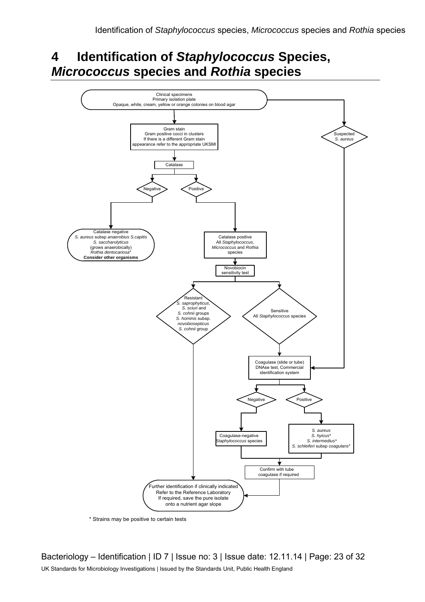# **4 Identification of** *Staphylococcus* **Species,**  *Micrococcus* **species and** *Rothia* **species**



\* Strains may be positive to certain tests

Bacteriology – Identification | ID 7 | Issue no: 3 | Issue date: 12.11.14 | Page: 23 of 32 UK Standards for Microbiology Investigations | Issued by the Standards Unit, Public Health England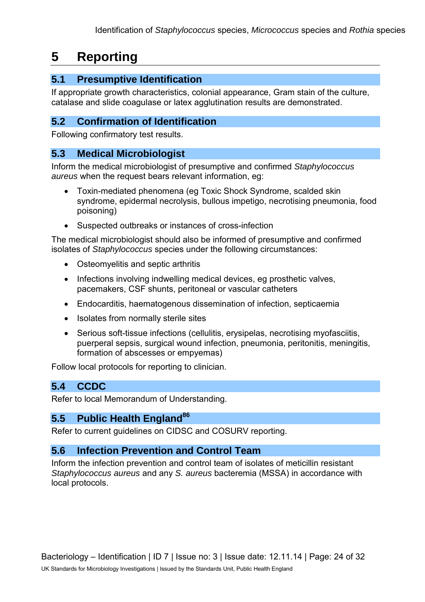# **5 Reporting**

# **5.1 Presumptive Identification**

If appropriate growth characteristics, colonial appearance, Gram stain of the culture, catalase and slide coagulase or latex agglutination results are demonstrated.

### **5.2 Confirmation of Identification**

Following confirmatory test results.

### **5.3 Medical Microbiologist**

Inform the medical microbiologist of presumptive and confirmed *Staphylococcus aureus* when the request bears relevant information, eg:

- Toxin-mediated phenomena (eg Toxic Shock Syndrome, scalded skin syndrome, epidermal necrolysis, bullous impetigo, necrotising pneumonia, food poisoning)
- Suspected outbreaks or instances of cross-infection

The medical microbiologist should also be informed of presumptive and confirmed isolates of *Staphylococcus* species under the following circumstances:

- Osteomyelitis and septic arthritis
- Infections involving indwelling medical devices, eg prosthetic valves, pacemakers, CSF shunts, peritoneal or vascular catheters
- Endocarditis, haematogenous dissemination of infection, septicaemia
- Isolates from normally sterile sites
- Serious soft-tissue infections (cellulitis, erysipelas, necrotising myofasciitis, puerperal sepsis, surgical wound infection, pneumonia, peritonitis, meningitis, formation of abscesses or empyemas)

Follow local protocols for reporting to clinician.

### **5.4 CCDC**

Refer to local Memorandum of Understanding.

### **5.5 Public Health England<sup>86</sup>**

Refer to current guidelines on CIDSC and COSURV reporting.

### **5.6 Infection Prevention and Control Team**

Inform the infection prevention and control team of isolates of meticillin resistant *Staphylococcus aureus* and any *S. aureus* bacteremia (MSSA) in accordance with local protocols.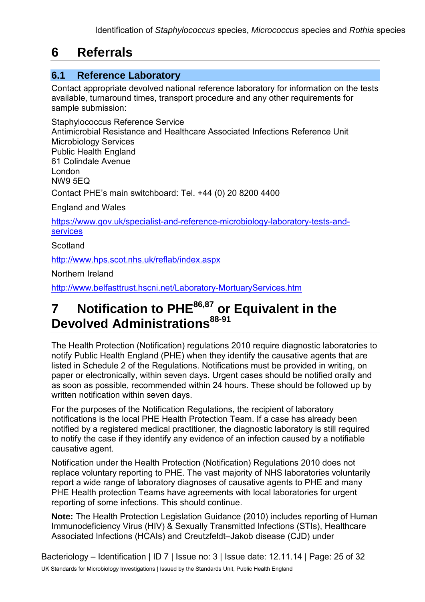# **6 Referrals**

# **6.1 Reference Laboratory**

Contact appropriate devolved national reference laboratory for information on the tests available, turnaround times, transport procedure and any other requirements for sample submission:

Staphylococcus Reference Service Antimicrobial Resistance and Healthcare Associated Infections Reference Unit Microbiology Services Public Health England 61 Colindale Avenue London NW9 5EQ Contact PHE's main switchboard: Tel. +44 (0) 20 8200 4400 England and Wales [https://www.gov.uk/specialist-and-reference-microbiology-laboratory-tests-and](https://www.gov.uk/specialist-and-reference-microbiology-laboratory-tests-and-services)[services](https://www.gov.uk/specialist-and-reference-microbiology-laboratory-tests-and-services)  **Scotland** 

<http://www.hps.scot.nhs.uk/reflab/index.aspx>

Northern Ireland

<http://www.belfasttrust.hscni.net/Laboratory-MortuaryServices.htm>

# **7 Notification to PHE86,87 or Equivalent in the Devolved Administrations88-91**

The Health Protection (Notification) regulations 2010 require diagnostic laboratories to notify Public Health England (PHE) when they identify the causative agents that are listed in Schedule 2 of the Regulations. Notifications must be provided in writing, on paper or electronically, within seven days. Urgent cases should be notified orally and as soon as possible, recommended within 24 hours. These should be followed up by written notification within seven days.

For the purposes of the Notification Regulations, the recipient of laboratory notifications is the local PHE Health Protection Team. If a case has already been notified by a registered medical practitioner, the diagnostic laboratory is still required to notify the case if they identify any evidence of an infection caused by a notifiable causative agent.

Notification under the Health Protection (Notification) Regulations 2010 does not replace voluntary reporting to PHE. The vast majority of NHS laboratories voluntarily report a wide range of laboratory diagnoses of causative agents to PHE and many PHE Health protection Teams have agreements with local laboratories for urgent reporting of some infections. This should continue.

**Note:** The Health Protection Legislation Guidance (2010) includes reporting of Human Immunodeficiency Virus (HIV) & Sexually Transmitted Infections (STIs), Healthcare Associated Infections (HCAIs) and Creutzfeldt–Jakob disease (CJD) under

Bacteriology – Identification | ID 7 | Issue no: 3 | Issue date: 12.11.14 | Page: 25 of 32 UK Standards for Microbiology Investigations | Issued by the Standards Unit, Public Health England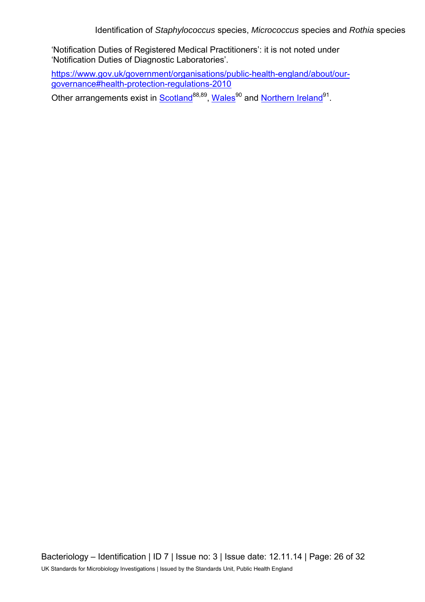'Notification Duties of Registered Medical Practitioners': it is not noted under 'Notification Duties of Diagnostic Laboratories'.

[https://www.gov.uk/government/organisations/public-health-england/about/our](https://www.gov.uk/government/organisations/public-health-england/about/our-governance#health-protection-regulations-2010)[governance#health-protection-regulations-2010](https://www.gov.uk/government/organisations/public-health-england/about/our-governance#health-protection-regulations-2010) 

Other arrangements exist in [Scotland](http://www.scotland.gov.uk/Topics/Health/Policy/Public-Health-Act/Implementation/Guidance/Guidance-Part2)<sup>88,89</sup>, Wales<sup>90</sup> and [Northern Ireland](http://www.publichealth.hscni.net/directorate-public-health/health-protection)<sup>91</sup>.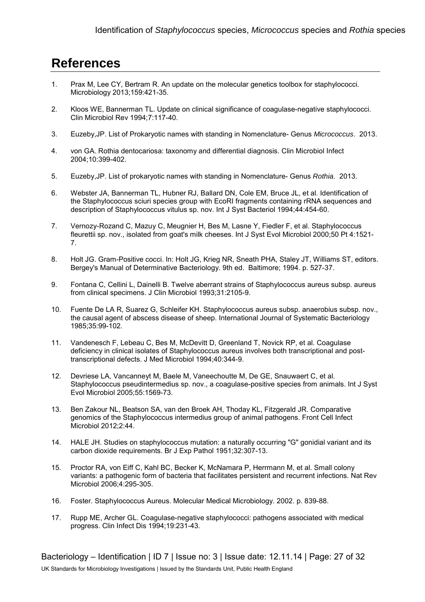# **References**

- 1. Prax M, Lee CY, Bertram R. An update on the molecular genetics toolbox for staphylococci. Microbiology 2013;159:421-35.
- 2. Kloos WE, Bannerman TL. Update on clinical significance of coagulase-negative staphylococci. Clin Microbiol Rev 1994;7:117-40.
- 3. Euzeby,JP. List of Prokaryotic names with standing in Nomenclature- Genus *Micrococcus*. 2013.
- 4. von GA. Rothia dentocariosa: taxonomy and differential diagnosis. Clin Microbiol Infect 2004;10:399-402.
- 5. Euzeby,JP. List of prokaryotic names with standing in Nomenclature- Genus *Rothia*. 2013.
- 6. Webster JA, Bannerman TL, Hubner RJ, Ballard DN, Cole EM, Bruce JL, et al. Identification of the Staphylococcus sciuri species group with EcoRI fragments containing rRNA sequences and description of Staphylococcus vitulus sp. nov. Int J Syst Bacteriol 1994;44:454-60.
- 7. Vernozy-Rozand C, Mazuy C, Meugnier H, Bes M, Lasne Y, Fiedler F, et al. Staphylococcus fleurettii sp. nov., isolated from goat's milk cheeses. Int J Syst Evol Microbiol 2000;50 Pt 4:1521- 7.
- 8. Holt JG. Gram-Positive cocci. In: Holt JG, Krieg NR, Sneath PHA, Staley JT, Williams ST, editors. Bergey's Manual of Determinative Bacteriology. 9th ed. Baltimore; 1994. p. 527-37.
- 9. Fontana C, Cellini L, Dainelli B. Twelve aberrant strains of Staphylococcus aureus subsp. aureus from clinical specimens. J Clin Microbiol 1993;31:2105-9.
- 10. Fuente De LA R, Suarez G, Schleifer KH. Staphylococcus aureus subsp. anaerobius subsp. nov., the causal agent of abscess disease of sheep. International Journal of Systematic Bacteriology 1985;35:99-102.
- 11. Vandenesch F, Lebeau C, Bes M, McDevitt D, Greenland T, Novick RP, et al. Coagulase deficiency in clinical isolates of Staphylococcus aureus involves both transcriptional and posttranscriptional defects. J Med Microbiol 1994;40:344-9.
- 12. Devriese LA, Vancanneyt M, Baele M, Vaneechoutte M, De GE, Snauwaert C, et al. Staphylococcus pseudintermedius sp. nov., a coagulase-positive species from animals. Int J Syst Evol Microbiol 2005;55:1569-73.
- 13. Ben Zakour NL, Beatson SA, van den Broek AH, Thoday KL, Fitzgerald JR. Comparative genomics of the Staphylococcus intermedius group of animal pathogens. Front Cell Infect Microbiol 2012;2:44.
- 14. HALE JH. Studies on staphylococcus mutation: a naturally occurring "G" gonidial variant and its carbon dioxide requirements. Br J Exp Pathol 1951;32:307-13.
- 15. Proctor RA, von Eiff C, Kahl BC, Becker K, McNamara P, Herrmann M, et al. Small colony variants: a pathogenic form of bacteria that facilitates persistent and recurrent infections. Nat Rev Microbiol 2006;4:295-305.
- 16. Foster. Staphylococcus Aureus. Molecular Medical Microbiology. 2002. p. 839-88.
- 17. Rupp ME, Archer GL. Coagulase-negative staphylococci: pathogens associated with medical progress. Clin Infect Dis 1994;19:231-43.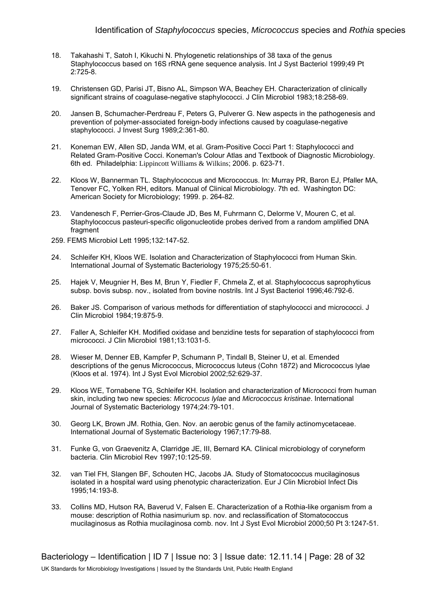- 18. Takahashi T, Satoh I, Kikuchi N. Phylogenetic relationships of 38 taxa of the genus Staphylococcus based on 16S rRNA gene sequence analysis. Int J Syst Bacteriol 1999;49 Pt 2:725-8.
- 19. Christensen GD, Parisi JT, Bisno AL, Simpson WA, Beachey EH. Characterization of clinically significant strains of coagulase-negative staphylococci. J Clin Microbiol 1983;18:258-69.
- 20. Jansen B, Schumacher-Perdreau F, Peters G, Pulverer G. New aspects in the pathogenesis and prevention of polymer-associated foreign-body infections caused by coagulase-negative staphylococci. J Invest Surg 1989;2:361-80.
- 21. Koneman EW, Allen SD, Janda WM, et al. Gram-Positive Cocci Part 1: Staphylococci and Related Gram-Positive Cocci. Koneman's Colour Atlas and Textbook of Diagnostic Microbiology. 6th ed. Philadelphia: Lippincott Williams & Wilkins; 2006. p. 623-71.
- 22. Kloos W, Bannerman TL. Staphylococcus and Micrococcus. In: Murray PR, Baron EJ, Pfaller MA, Tenover FC, Yolken RH, editors. Manual of Clinical Microbiology. 7th ed. Washington DC: American Society for Microbiology; 1999. p. 264-82.
- 23. Vandenesch F, Perrier-Gros-Claude JD, Bes M, Fuhrmann C, Delorme V, Mouren C, et al. Staphylococcus pasteuri-specific oligonucleotide probes derived from a random amplified DNA fragment
- 259. FEMS Microbiol Lett 1995;132:147-52.
- 24. Schleifer KH, Kloos WE. Isolation and Characterization of Staphylococci from Human Skin. International Journal of Systematic Bacteriology 1975;25:50-61.
- 25. Hajek V, Meugnier H, Bes M, Brun Y, Fiedler F, Chmela Z, et al. Staphylococcus saprophyticus subsp. bovis subsp. nov., isolated from bovine nostrils. Int J Syst Bacteriol 1996;46:792-6.
- 26. Baker JS. Comparison of various methods for differentiation of staphylococci and micrococci. J Clin Microbiol 1984;19:875-9.
- 27. Faller A, Schleifer KH. Modified oxidase and benzidine tests for separation of staphylococci from micrococci. J Clin Microbiol 1981;13:1031-5.
- 28. Wieser M, Denner EB, Kampfer P, Schumann P, Tindall B, Steiner U, et al. Emended descriptions of the genus Micrococcus, Micrococcus luteus (Cohn 1872) and Micrococcus lylae (Kloos et al. 1974). Int J Syst Evol Microbiol 2002;52:629-37.
- 29. Kloos WE, Tornabene TG, Schleifer KH. Isolation and characterization of Micrococci from human skin, including two new species: *Micrococus lylae* and *Micrococcus kristinae*. International Journal of Systematic Bacteriology 1974;24:79-101.
- 30. Georg LK, Brown JM. Rothia, Gen. Nov. an aerobic genus of the family actinomycetaceae. International Journal of Systematic Bacteriology 1967;17:79-88.
- 31. Funke G, von Graevenitz A, Clarridge JE, III, Bernard KA. Clinical microbiology of coryneform bacteria. Clin Microbiol Rev 1997;10:125-59.
- 32. van Tiel FH, Slangen BF, Schouten HC, Jacobs JA. Study of Stomatococcus mucilaginosus isolated in a hospital ward using phenotypic characterization. Eur J Clin Microbiol Infect Dis 1995;14:193-8.
- 33. Collins MD, Hutson RA, Baverud V, Falsen E. Characterization of a Rothia-like organism from a mouse: description of Rothia nasimurium sp. nov. and reclassification of Stomatococcus mucilaginosus as Rothia mucilaginosa comb. nov. Int J Syst Evol Microbiol 2000;50 Pt 3:1247-51.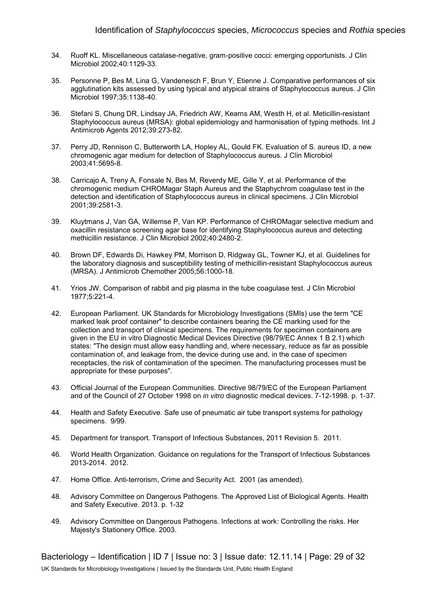- 34. Ruoff KL. Miscellaneous catalase-negative, gram-positive cocci: emerging opportunists. J Clin Microbiol 2002;40:1129-33.
- 35. Personne P, Bes M, Lina G, Vandenesch F, Brun Y, Etienne J. Comparative performances of six agglutination kits assessed by using typical and atypical strains of Staphylococcus aureus. J Clin Microbiol 1997;35:1138-40.
- 36. Stefani S, Chung DR, Lindsay JA, Friedrich AW, Kearns AM, Westh H, et al. Meticillin-resistant Staphylococcus aureus (MRSA): global epidemiology and harmonisation of typing methods. Int J Antimicrob Agents 2012;39:273-82.
- 37. Perry JD, Rennison C, Butterworth LA, Hopley AL, Gould FK. Evaluation of S. aureus ID, a new chromogenic agar medium for detection of Staphylococcus aureus. J Clin Microbiol 2003;41:5695-8.
- 38. Carricajo A, Treny A, Fonsale N, Bes M, Reverdy ME, Gille Y, et al. Performance of the chromogenic medium CHROMagar Staph Aureus and the Staphychrom coagulase test in the detection and identification of Staphylococcus aureus in clinical specimens. J Clin Microbiol 2001;39:2581-3.
- 39. Kluytmans J, Van GA, Willemse P, Van KP. Performance of CHROMagar selective medium and oxacillin resistance screening agar base for identifying Staphylococcus aureus and detecting methicillin resistance. J Clin Microbiol 2002;40:2480-2.
- 40. Brown DF, Edwards Di, Hawkey PM, Morrison D, Ridgway GL, Towner KJ, et al. Guidelines for the laboratory diagnosis and susceptibility testing of methicillin-resistant Staphylococcus aureus (MRSA). J Antimicrob Chemother 2005;56:1000-18.
- 41. Yrios JW. Comparison of rabbit and pig plasma in the tube coagulase test. J Clin Microbiol 1977;5:221-4.
- 42. European Parliament. UK Standards for Microbiology Investigations (SMIs) use the term "CE marked leak proof container" to describe containers bearing the CE marking used for the collection and transport of clinical specimens. The requirements for specimen containers are given in the EU in vitro Diagnostic Medical Devices Directive (98/79/EC Annex 1 B 2.1) which states: "The design must allow easy handling and, where necessary, reduce as far as possible contamination of, and leakage from, the device during use and, in the case of specimen receptacles, the risk of contamination of the specimen. The manufacturing processes must be appropriate for these purposes".
- 43. Official Journal of the European Communities. Directive 98/79/EC of the European Parliament and of the Council of 27 October 1998 on *in vitro* diagnostic medical devices. 7-12-1998. p. 1-37.
- 44. Health and Safety Executive. Safe use of pneumatic air tube transport systems for pathology specimens. 9/99.
- 45. Department for transport. Transport of Infectious Substances, 2011 Revision 5. 2011.
- 46. World Health Organization. Guidance on regulations for the Transport of Infectious Substances 2013-2014. 2012.
- 47. Home Office. Anti-terrorism, Crime and Security Act. 2001 (as amended).
- 48. Advisory Committee on Dangerous Pathogens. The Approved List of Biological Agents. Health and Safety Executive. 2013. p. 1-32
- 49. Advisory Committee on Dangerous Pathogens. Infections at work: Controlling the risks. Her Majesty's Stationery Office. 2003.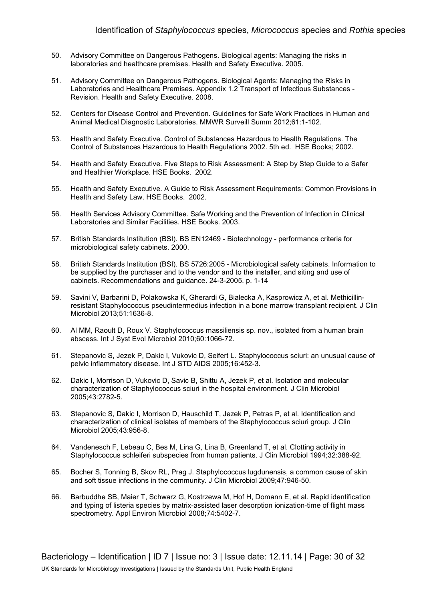- 50. Advisory Committee on Dangerous Pathogens. Biological agents: Managing the risks in laboratories and healthcare premises. Health and Safety Executive. 2005.
- 51. Advisory Committee on Dangerous Pathogens. Biological Agents: Managing the Risks in Laboratories and Healthcare Premises. Appendix 1.2 Transport of Infectious Substances - Revision. Health and Safety Executive. 2008.
- 52. Centers for Disease Control and Prevention. Guidelines for Safe Work Practices in Human and Animal Medical Diagnostic Laboratories. MMWR Surveill Summ 2012;61:1-102.
- 53. Health and Safety Executive. Control of Substances Hazardous to Health Regulations. The Control of Substances Hazardous to Health Regulations 2002. 5th ed. HSE Books; 2002.
- 54. Health and Safety Executive. Five Steps to Risk Assessment: A Step by Step Guide to a Safer and Healthier Workplace. HSE Books. 2002.
- 55. Health and Safety Executive. A Guide to Risk Assessment Requirements: Common Provisions in Health and Safety Law. HSE Books. 2002.
- 56. Health Services Advisory Committee. Safe Working and the Prevention of Infection in Clinical Laboratories and Similar Facilities. HSE Books. 2003.
- 57. British Standards Institution (BSI). BS EN12469 Biotechnology performance criteria for microbiological safety cabinets. 2000.
- 58. British Standards Institution (BSI). BS 5726:2005 Microbiological safety cabinets. Information to be supplied by the purchaser and to the vendor and to the installer, and siting and use of cabinets. Recommendations and guidance. 24-3-2005. p. 1-14
- 59. Savini V, Barbarini D, Polakowska K, Gherardi G, Bialecka A, Kasprowicz A, et al. Methicillinresistant Staphylococcus pseudintermedius infection in a bone marrow transplant recipient. J Clin Microbiol 2013;51:1636-8.
- 60. Al MM, Raoult D, Roux V. Staphylococcus massiliensis sp. nov., isolated from a human brain abscess. Int J Syst Evol Microbiol 2010;60:1066-72.
- 61. Stepanovic S, Jezek P, Dakic I, Vukovic D, Seifert L. Staphylococcus sciuri: an unusual cause of pelvic inflammatory disease. Int J STD AIDS 2005;16:452-3.
- 62. Dakic I, Morrison D, Vukovic D, Savic B, Shittu A, Jezek P, et al. Isolation and molecular characterization of Staphylococcus sciuri in the hospital environment. J Clin Microbiol 2005;43:2782-5.
- 63. Stepanovic S, Dakic I, Morrison D, Hauschild T, Jezek P, Petras P, et al. Identification and characterization of clinical isolates of members of the Staphylococcus sciuri group. J Clin Microbiol 2005;43:956-8.
- 64. Vandenesch F, Lebeau C, Bes M, Lina G, Lina B, Greenland T, et al. Clotting activity in Staphylococcus schleiferi subspecies from human patients. J Clin Microbiol 1994;32:388-92.
- 65. Bocher S, Tonning B, Skov RL, Prag J. Staphylococcus lugdunensis, a common cause of skin and soft tissue infections in the community. J Clin Microbiol 2009;47:946-50.
- 66. Barbuddhe SB, Maier T, Schwarz G, Kostrzewa M, Hof H, Domann E, et al. Rapid identification and typing of listeria species by matrix-assisted laser desorption ionization-time of flight mass spectrometry. Appl Environ Microbiol 2008;74:5402-7.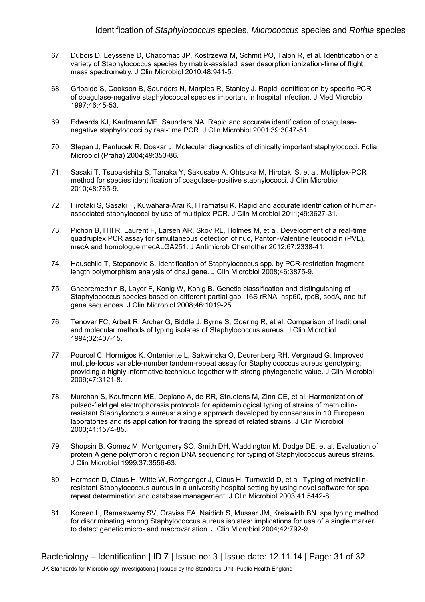- 67. Dubois D, Leyssene D, Chacornac JP, Kostrzewa M, Schmit PO, Talon R, et al. Identification of a variety of Staphylococcus species by matrix-assisted laser desorption ionization-time of flight mass spectrometry. J Clin Microbiol 2010;48:941-5.
- 68. Gribaldo S, Cookson B, Saunders N, Marples R, Stanley J. Rapid identification by specific PCR of coagulase-negative staphylococcal species important in hospital infection. J Med Microbiol 1997;46:45-53.
- 69. Edwards KJ, Kaufmann ME, Saunders NA. Rapid and accurate identification of coagulasenegative staphylococci by real-time PCR. J Clin Microbiol 2001;39:3047-51.
- 70. Stepan J, Pantucek R, Doskar J. Molecular diagnostics of clinically important staphylococci. Folia Microbiol (Praha) 2004;49:353-86.
- 71. Sasaki T, Tsubakishita S, Tanaka Y, Sakusabe A, Ohtsuka M, Hirotaki S, et al. Multiplex-PCR method for species identification of coagulase-positive staphylococci. J Clin Microbiol 2010;48:765-9.
- 72. Hirotaki S, Sasaki T, Kuwahara-Arai K, Hiramatsu K. Rapid and accurate identification of humanassociated staphylococci by use of multiplex PCR. J Clin Microbiol 2011;49:3627-31.
- 73. Pichon B, Hill R, Laurent F, Larsen AR, Skov RL, Holmes M, et al. Development of a real-time quadruplex PCR assay for simultaneous detection of nuc, Panton-Valentine leucocidin (PVL), mecA and homologue mecALGA251. J Antimicrob Chemother 2012;67:2338-41.
- 74. Hauschild T, Stepanovic S. Identification of Staphylococcus spp. by PCR-restriction fragment length polymorphism analysis of dnaJ gene. J Clin Microbiol 2008;46:3875-9.
- 75. Ghebremedhin B, Layer F, Konig W, Konig B. Genetic classification and distinguishing of Staphylococcus species based on different partial gap, 16S rRNA, hsp60, rpoB, sodA, and tuf gene sequences. J Clin Microbiol 2008;46:1019-25.
- 76. Tenover FC, Arbeit R, Archer G, Biddle J, Byrne S, Goering R, et al. Comparison of traditional and molecular methods of typing isolates of Staphylococcus aureus. J Clin Microbiol 1994;32:407-15.
- 77. Pourcel C, Hormigos K, Onteniente L, Sakwinska O, Deurenberg RH, Vergnaud G. Improved multiple-locus variable-number tandem-repeat assay for Staphylococcus aureus genotyping, providing a highly informative technique together with strong phylogenetic value. J Clin Microbiol 2009;47:3121-8.
- 78. Murchan S, Kaufmann ME, Deplano A, de RR, Struelens M, Zinn CE, et al. Harmonization of pulsed-field gel electrophoresis protocols for epidemiological typing of strains of methicillinresistant Staphylococcus aureus: a single approach developed by consensus in 10 European laboratories and its application for tracing the spread of related strains. J Clin Microbiol 2003;41:1574-85.
- 79. Shopsin B, Gomez M, Montgomery SO, Smith DH, Waddington M, Dodge DE, et al. Evaluation of protein A gene polymorphic region DNA sequencing for typing of Staphylococcus aureus strains. J Clin Microbiol 1999;37:3556-63.
- 80. Harmsen D, Claus H, Witte W, Rothganger J, Claus H, Turnwald D, et al. Typing of methicillinresistant Staphylococcus aureus in a university hospital setting by using novel software for spa repeat determination and database management. J Clin Microbiol 2003;41:5442-8.
- 81. Koreen L, Ramaswamy SV, Graviss EA, Naidich S, Musser JM, Kreiswirth BN. spa typing method for discriminating among Staphylococcus aureus isolates: implications for use of a single marker to detect genetic micro- and macrovariation. J Clin Microbiol 2004;42:792-9.